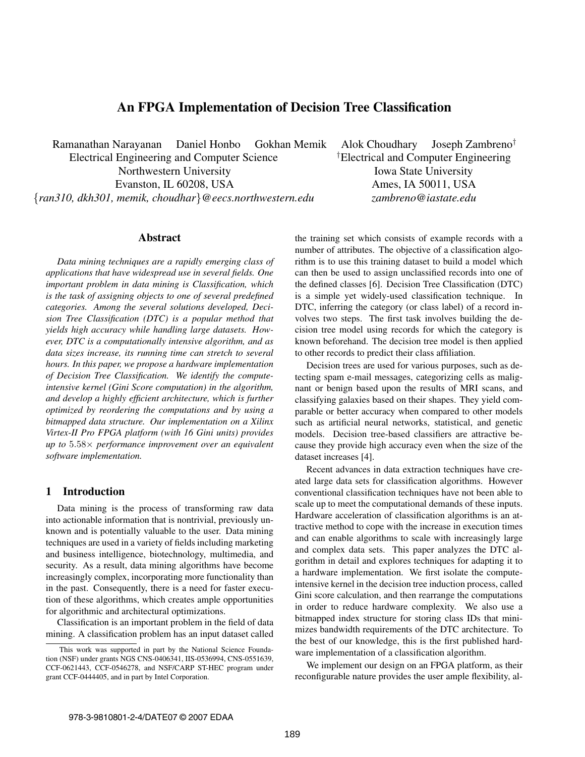# **An FPGA Implementation of Decision Tree Classification**

Ramanathan Narayanan Daniel Honbo Gokhan Memik Alok Choudhary Joseph Zambreno*†*

Electrical Engineering and Computer Science *†* Northwestern University **Iowa State University** Evanston, IL 60208, USA Ames, IA 50011, USA {*ran310, dkh301, memik, choudhar*}*@eecs.northwestern.edu zambreno@iastate.edu*

Electrical and Computer Engineering

## **Abstract**

*Data mining techniques are a rapidly emerging class of applications that have widespread use in several fields. One important problem in data mining is Classification, which is the task of assigning objects to one of several predefined categories. Among the several solutions developed, Decision Tree Classification (DTC) is a popular method that yields high accuracy while handling large datasets. However, DTC is a computationally intensive algorithm, and as data sizes increase, its running time can stretch to several hours. In this paper, we propose a hardware implementation of Decision Tree Classification. We identify the computeintensive kernel (Gini Score computation) in the algorithm, and develop a highly efficient architecture, which is further optimized by reordering the computations and by using a bitmapped data structure. Our implementation on a Xilinx Virtex-II Pro FPGA platform (with 16 Gini units) provides up to* <sup>5</sup>*.*58<sup>×</sup> *performance improvement over an equivalent software implementation.*

# **1 Introduction**

Data mining is the process of transforming raw data into actionable information that is nontrivial, previously unknown and is potentially valuable to the user. Data mining techniques are used in a variety of fields including marketing and business intelligence, biotechnology, multimedia, and security. As a result, data mining algorithms have become increasingly complex, incorporating more functionality than in the past. Consequently, there is a need for faster execution of these algorithms, which creates ample opportunities for algorithmic and architectural optimizations.

Classification is an important problem in the field of data mining. A classification problem has an input dataset called

the training set which consists of example records with a number of attributes. The objective of a classification algorithm is to use this training dataset to build a model which can then be used to assign unclassified records into one of the defined classes [6]. Decision Tree Classification (DTC) is a simple yet widely-used classification technique. In DTC, inferring the category (or class label) of a record involves two steps. The first task involves building the decision tree model using records for which the category is known beforehand. The decision tree model is then applied to other records to predict their class affiliation.

Decision trees are used for various purposes, such as detecting spam e-mail messages, categorizing cells as malignant or benign based upon the results of MRI scans, and classifying galaxies based on their shapes. They yield comparable or better accuracy when compared to other models such as artificial neural networks, statistical, and genetic models. Decision tree-based classifiers are attractive because they provide high accuracy even when the size of the dataset increases [4].

Recent advances in data extraction techniques have created large data sets for classification algorithms. However conventional classification techniques have not been able to scale up to meet the computational demands of these inputs. Hardware acceleration of classification algorithms is an attractive method to cope with the increase in execution times and can enable algorithms to scale with increasingly large and complex data sets. This paper analyzes the DTC algorithm in detail and explores techniques for adapting it to a hardware implementation. We first isolate the computeintensive kernel in the decision tree induction process, called Gini score calculation, and then rearrange the computations in order to reduce hardware complexity. We also use a bitmapped index structure for storing class IDs that minimizes bandwidth requirements of the DTC architecture. To the best of our knowledge, this is the first published hardware implementation of a classification algorithm.

We implement our design on an FPGA platform, as their reconfigurable nature provides the user ample flexibility, al-

This work was supported in part by the National Science Foundation (NSF) under grants NGS CNS-0406341, IIS-0536994, CNS-0551639, CCF-0621443, CCF-0546278, and NSF/CARP ST-HEC program under grant CCF-0444405, and in part by Intel Corporation.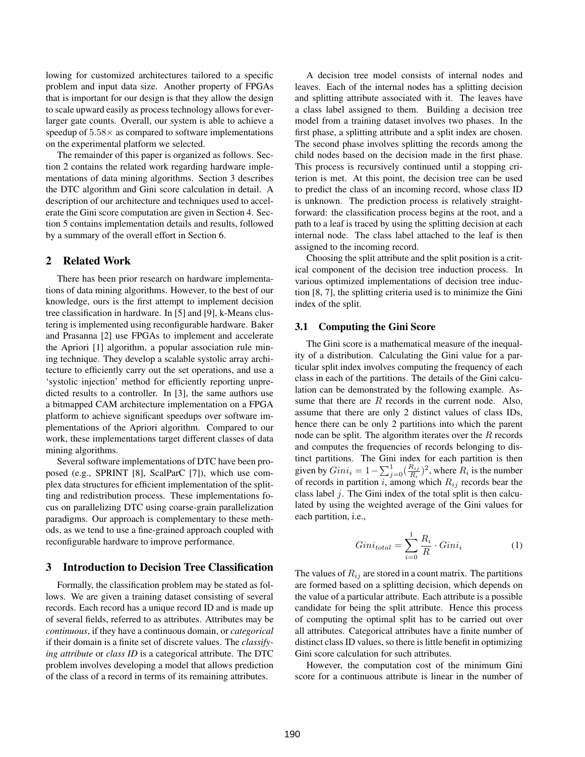lowing for customized architectures tailored to a specific problem and input data size. Another property of FPGAs that is important for our design is that they allow the design to scale upward easily as process technology allows for everlarger gate counts. Overall, our system is able to achieve a speedup of  $5.58\times$  as compared to software implementations on the experimental platform we selected.

The remainder of this paper is organized as follows. Section 2 contains the related work regarding hardware implementations of data mining algorithms. Section 3 describes the DTC algorithm and Gini score calculation in detail. A description of our architecture and techniques used to accelerate the Gini score computation are given in Section 4. Section 5 contains implementation details and results, followed by a summary of the overall effort in Section 6.

## **2 Related Work**

There has been prior research on hardware implementations of data mining algorithms. However, to the best of our knowledge, ours is the first attempt to implement decision tree classification in hardware. In [5] and [9], k-Means clustering is implemented using reconfigurable hardware. Baker and Prasanna [2] use FPGAs to implement and accelerate the Apriori [1] algorithm, a popular association rule mining technique. They develop a scalable systolic array architecture to efficiently carry out the set operations, and use a 'systolic injection' method for efficiently reporting unpredicted results to a controller. In [3], the same authors use a bitmapped CAM architecture implementation on a FPGA platform to achieve significant speedups over software implementations of the Apriori algorithm. Compared to our work, these implementations target different classes of data mining algorithms.

Several software implementations of DTC have been proposed (e.g., SPRINT [8], ScalParC [7]), which use complex data structures for efficient implementation of the splitting and redistribution process. These implementations focus on parallelizing DTC using coarse-grain parallelization paradigms. Our approach is complementary to these methods, as we tend to use a fine-grained approach coupled with reconfigurable hardware to improve performance.

# **3 Introduction to Decision Tree Classification**

Formally, the classification problem may be stated as follows. We are given a training dataset consisting of several records. Each record has a unique record ID and is made up of several fields, referred to as attributes. Attributes may be *continuous*, if they have a continuous domain, or *categorical* if their domain is a finite set of discrete values. The *classifying attribute* or *class ID* is a categorical attribute. The DTC problem involves developing a model that allows prediction of the class of a record in terms of its remaining attributes.

A decision tree model consists of internal nodes and leaves. Each of the internal nodes has a splitting decision and splitting attribute associated with it. The leaves have a class label assigned to them. Building a decision tree model from a training dataset involves two phases. In the first phase, a splitting attribute and a split index are chosen. The second phase involves splitting the records among the child nodes based on the decision made in the first phase. This process is recursively continued until a stopping criterion is met. At this point, the decision tree can be used to predict the class of an incoming record, whose class ID is unknown. The prediction process is relatively straightforward: the classification process begins at the root, and a path to a leaf is traced by using the splitting decision at each internal node. The class label attached to the leaf is then assigned to the incoming record.

Choosing the split attribute and the split position is a critical component of the decision tree induction process. In various optimized implementations of decision tree induction [8, 7], the splitting criteria used is to minimize the Gini index of the split.

#### **3.1 Computing the Gini Score**

The Gini score is a mathematical measure of the inequality of a distribution. Calculating the Gini value for a particular split index involves computing the frequency of each class in each of the partitions. The details of the Gini calculation can be demonstrated by the following example. Assume that there are *R* records in the current node. Also, assume that there are only 2 distinct values of class IDs, hence there can be only 2 partitions into which the parent node can be split. The algorithm iterates over the *R* records and computes the frequencies of records belonging to distinct partitions. The Gini index for each partition is then given by  $Gini_i = 1 - \sum_{j=0}^{1} (\frac{R_{ij}}{R_i})^2$ , where  $R_i$  is the number<br>of records in partition *i* among which  $R_i$ ; records hear the of records in partition *i*, among which  $R_{ij}$  records bear the class label *i*. The Gini index of the total split is then calcuclass label *j*. The Gini index of the total split is then calculated by using the weighted average of the Gini values for each partition, i.e.,

$$
Gini_{total} = \sum_{i=0}^{1} \frac{R_i}{R} \cdot Gini_i \tag{1}
$$

The values of  $R_{ij}$  are stored in a count matrix. The partitions are formed based on a splitting decision, which depends on the value of a particular attribute. Each attribute is a possible candidate for being the split attribute. Hence this process of computing the optimal split has to be carried out over all attributes. Categorical attributes have a finite number of distinct class ID values, so there is little benefit in optimizing Gini score calculation for such attributes.

However, the computation cost of the minimum Gini score for a continuous attribute is linear in the number of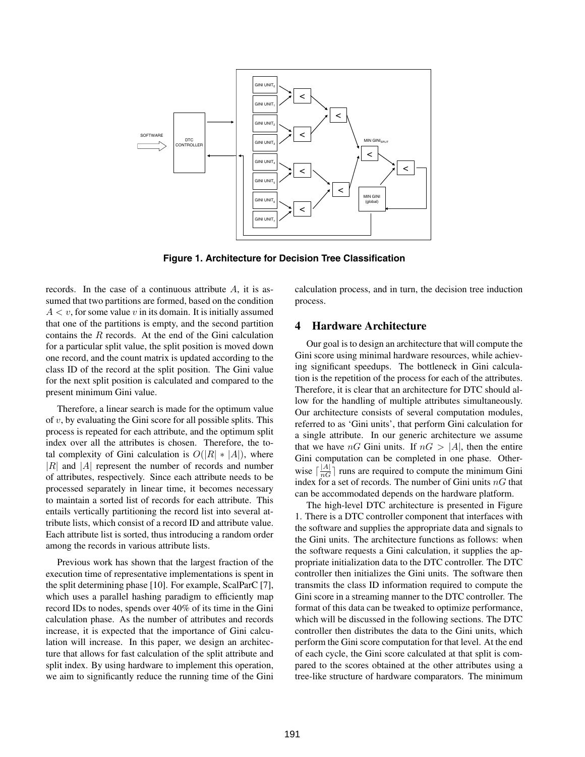

**Figure 1. Architecture for Decision Tree Classification**

records. In the case of a continuous attribute *A*, it is assumed that two partitions are formed, based on the condition  $A < v$ , for some value *v* in its domain. It is initially assumed that one of the partitions is empty, and the second partition contains the *R* records. At the end of the Gini calculation for a particular split value, the split position is moved down one record, and the count matrix is updated according to the class ID of the record at the split position. The Gini value for the next split position is calculated and compared to the present minimum Gini value.

Therefore, a linear search is made for the optimum value of *v*, by evaluating the Gini score for all possible splits. This process is repeated for each attribute, and the optimum split index over all the attributes is chosen. Therefore, the total complexity of Gini calculation is  $O(|R| * |A|)$ , where <sup>|</sup>*R*<sup>|</sup> and <sup>|</sup>*A*<sup>|</sup> represent the number of records and number of attributes, respectively. Since each attribute needs to be processed separately in linear time, it becomes necessary to maintain a sorted list of records for each attribute. This entails vertically partitioning the record list into several attribute lists, which consist of a record ID and attribute value. Each attribute list is sorted, thus introducing a random order among the records in various attribute lists.

Previous work has shown that the largest fraction of the execution time of representative implementations is spent in the split determining phase [10]. For example, ScalParC [7], which uses a parallel hashing paradigm to efficiently map record IDs to nodes, spends over 40% of its time in the Gini calculation phase. As the number of attributes and records increase, it is expected that the importance of Gini calculation will increase. In this paper, we design an architecture that allows for fast calculation of the split attribute and split index. By using hardware to implement this operation, we aim to significantly reduce the running time of the Gini calculation process, and in turn, the decision tree induction process.

## **4 Hardware Architecture**

Our goal is to design an architecture that will compute the Gini score using minimal hardware resources, while achieving significant speedups. The bottleneck in Gini calculation is the repetition of the process for each of the attributes. Therefore, it is clear that an architecture for DTC should allow for the handling of multiple attributes simultaneously. Our architecture consists of several computation modules, referred to as 'Gini units', that perform Gini calculation for a single attribute. In our generic architecture we assume that we have *nG* Gini units. If  $nG > |A|$ , then the entire Gini computation can be completed in one phase. Otherwise  $\lceil \frac{|A|}{nG} \rceil$  runs are required to compute the minimum Gini index for a set of records. The number of Gini units *nG* that can be accommodated depends on the hardware platform.

The high-level DTC architecture is presented in Figure 1. There is a DTC controller component that interfaces with the software and supplies the appropriate data and signals to the Gini units. The architecture functions as follows: when the software requests a Gini calculation, it supplies the appropriate initialization data to the DTC controller. The DTC controller then initializes the Gini units. The software then transmits the class ID information required to compute the Gini score in a streaming manner to the DTC controller. The format of this data can be tweaked to optimize performance, which will be discussed in the following sections. The DTC controller then distributes the data to the Gini units, which perform the Gini score computation for that level. At the end of each cycle, the Gini score calculated at that split is compared to the scores obtained at the other attributes using a tree-like structure of hardware comparators. The minimum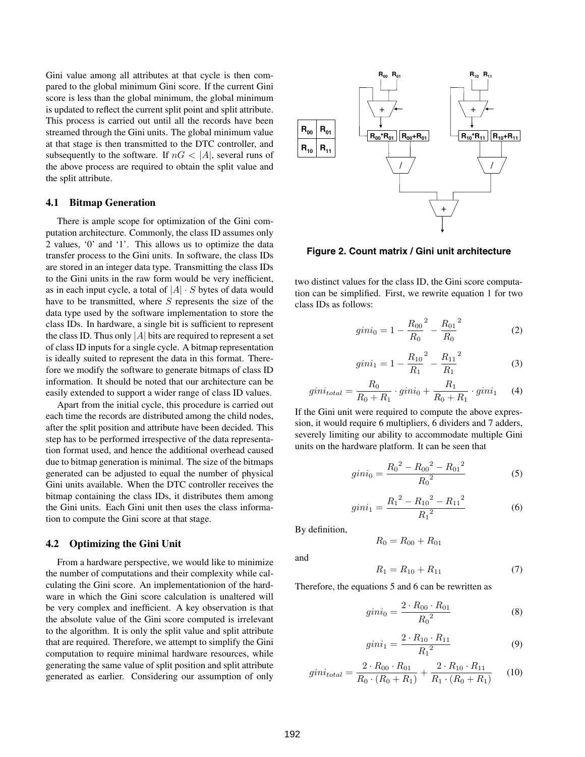Gini value among all attributes at that cycle is then compared to the global minimum Gini score. If the current Gini score is less than the global minimum, the global minimum is updated to reflect the current split point and split attribute. This process is carried out until all the records have been streamed through the Gini units. The global minimum value at that stage is then transmitted to the DTC controller, and subsequently to the software. If  $nG < |A|$ , several runs of the above process are required to obtain the split value and the split attribute.

#### **4.1 Bitmap Generation**

There is ample scope for optimization of the Gini computation architecture. Commonly, the class ID assumes only 2 values, '0' and '1'. This allows us to optimize the data transfer process to the Gini units. In software, the class IDs are stored in an integer data type. Transmitting the class IDs to the Gini units in the raw form would be very inefficient, as in each input cycle, a total of  $|A| \cdot S$  bytes of data would have to be transmitted, where *S* represents the size of the data type used by the software implementation to store the class IDs. In hardware, a single bit is sufficient to represent the class ID. Thus only  $|A|$  bits are required to represent a set of class ID inputs for a single cycle. A bitmap representation is ideally suited to represent the data in this format. Therefore we modify the software to generate bitmaps of class ID information. It should be noted that our architecture can be easily extended to support a wider range of class ID values.

Apart from the initial cycle, this procedure is carried out each time the records are distributed among the child nodes, after the split position and attribute have been decided. This step has to be performed irrespective of the data representation format used, and hence the additional overhead caused due to bitmap generation is minimal. The size of the bitmaps generated can be adjusted to equal the number of physical Gini units available. When the DTC controller receives the bitmap containing the class IDs, it distributes them among the Gini units. Each Gini unit then uses the class information to compute the Gini score at that stage.

#### **4.2 Optimizing the Gini Unit**

From a hardware perspective, we would like to minimize the number of computations and their complexity while calculating the Gini score. An implementationion of the hardware in which the Gini score calculation is unaltered will be very complex and inefficient. A key observation is that the absolute value of the Gini score computed is irrelevant to the algorithm. It is only the split value and split attribute that are required. Therefore, we attempt to simplify the Gini computation to require minimal hardware resources, while generating the same value of split position and split attribute generated as earlier. Considering our assumption of only



**Figure 2. Count matrix / Gini unit architecture**

two distinct values for the class ID, the Gini score computation can be simplified. First, we rewrite equation 1 for two class IDs as follows:

$$
gini_0 = 1 - \frac{R_{00}}{R_0}^2 - \frac{R_{01}}{R_0}^2
$$
 (2)

$$
gini_1 = 1 - \frac{R_{10}}{R_1}^2 - \frac{R_{11}}{R_1}^2
$$
 (3)

$$
gini_{total} = \frac{R_0}{R_0 + R_1} \cdot gini_0 + \frac{R_1}{R_0 + R_1} \cdot gini_1 \quad (4)
$$
  
If the Gini unit were required to compute the above expres-

sion, it would require 6 multipliers, 6 dividers and 7 adders, severely limiting our ability to accommodate multiple Gini units on the hardware platform. It can be seen that

$$
gini_0 = \frac{{R_0}^2 - {R_{00}}^2 - {R_{01}}^2}{R_0{}^2}
$$
 (5)

$$
gini_1 = \frac{{R_1}^2 - {R_{10}}^2 - {R_{11}}^2}{R_1{}^2}
$$
 (6)

By definition,

$$
R_0 = R_{00} + R_{01}
$$

and

$$
R_1 = R_{10} + R_{11} \tag{7}
$$

Therefore, the equations 5 and 6 can be rewritten as

$$
gini_0 = \frac{2 \cdot R_{00} \cdot R_{01}}{R_0^2} \tag{8}
$$

$$
gini_1 = \frac{2 \cdot R_{10} \cdot R_{11}}{R_1^2} \tag{9}
$$

$$
gini_{total} = \frac{2 \cdot R_{00} \cdot R_{01}}{R_0 \cdot (R_0 + R_1)} + \frac{2 \cdot R_{10} \cdot R_{11}}{R_1 \cdot (R_0 + R_1)}
$$
(10)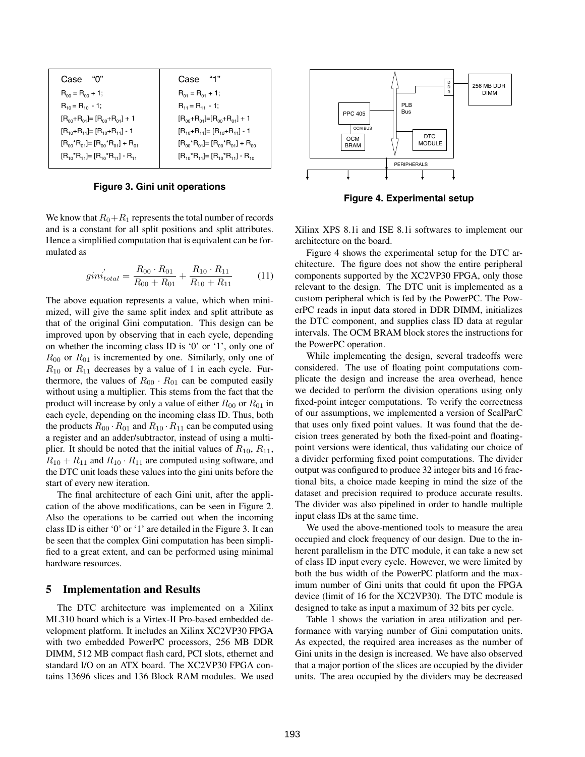| "በ"<br>Case                                    | Case "1"                                       |
|------------------------------------------------|------------------------------------------------|
| $R_{00} = R_{00} + 1;$                         | $R_{01} = R_{01} + 1;$                         |
| $R_{10} = R_{10} - 1$ ;                        | $R_{11} = R_{11} - 1$ ;                        |
| $[R_{00}+R_{01}]=[R_{00}+R_{01}]+1$            | $[R_{00}+R_{01}]=[R_{00}+R_{01}]+1$            |
| $[R_{10}+R_{11}]=[R_{10}+R_{11}]-1$            | $[R_{10}+R_{11}]=[R_{10}+R_{11}]-1$            |
| $[R_{00}^*R_{01}] = [R_{00}^*R_{01}] + R_{01}$ | $[R_{00}^*R_{01}]=[R_{00}^*R_{01}]+R_{00}$     |
| $[R_{10}^*R_{11}] = [R_{10}^*R_{11}] - R_{11}$ | $[R_{10}^*R_{11}] = [R_{10}^*R_{11}] - R_{10}$ |

**Figure 3. Gini unit operations**

We know that  $R_0 + R_1$  represents the total number of records and is a constant for all split positions and split attributes. Hence a simplified computation that is equivalent can be formulated as

$$
gini'_{total} = \frac{R_{00} \cdot R_{01}}{R_{00} + R_{01}} + \frac{R_{10} \cdot R_{11}}{R_{10} + R_{11}} \tag{11}
$$

The above equation represents a value, which when minimized, will give the same split index and split attribute as that of the original Gini computation. This design can be improved upon by observing that in each cycle, depending on whether the incoming class ID is '0' or '1', only one of *<sup>R</sup>*<sup>00</sup> or *<sup>R</sup>*<sup>01</sup> is incremented by one. Similarly, only one of  $R_{10}$  or  $R_{11}$  decreases by a value of 1 in each cycle. Furthermore, the values of  $R_{00} \cdot R_{01}$  can be computed easily without using a multiplier. This stems from the fact that the product will increase by only a value of either  $R_{00}$  or  $R_{01}$  in each cycle, depending on the incoming class ID. Thus, both the products  $R_{00} \cdot R_{01}$  and  $R_{10} \cdot R_{11}$  can be computed using a register and an adder/subtractor, instead of using a multiplier. It should be noted that the initial values of  $R_{10}$ ,  $R_{11}$ ,  $R_{10} + R_{11}$  and  $R_{10} \cdot R_{11}$  are computed using software, and the DTC unit loads these values into the gini units before the start of every new iteration.

The final architecture of each Gini unit, after the application of the above modifications, can be seen in Figure 2. Also the operations to be carried out when the incoming class ID is either '0' or '1' are detailed in the Figure 3. It can be seen that the complex Gini computation has been simplified to a great extent, and can be performed using minimal hardware resources.

#### **5 Implementation and Results**

The DTC architecture was implemented on a Xilinx ML310 board which is a Virtex-II Pro-based embedded development platform. It includes an Xilinx XC2VP30 FPGA with two embedded PowerPC processors, 256 MB DDR DIMM, 512 MB compact flash card, PCI slots, ethernet and standard I/O on an ATX board. The XC2VP30 FPGA contains 13696 slices and 136 Block RAM modules. We used



**Figure 4. Experimental setup**

Xilinx XPS 8.1i and ISE 8.1i softwares to implement our architecture on the board.

Figure 4 shows the experimental setup for the DTC architecture. The figure does not show the entire peripheral components supported by the XC2VP30 FPGA, only those relevant to the design. The DTC unit is implemented as a custom peripheral which is fed by the PowerPC. The PowerPC reads in input data stored in DDR DIMM, initializes the DTC component, and supplies class ID data at regular intervals. The OCM BRAM block stores the instructions for the PowerPC operation.

While implementing the design, several tradeoffs were considered. The use of floating point computations complicate the design and increase the area overhead, hence we decided to perform the division operations using only fixed-point integer computations. To verify the correctness of our assumptions, we implemented a version of ScalParC that uses only fixed point values. It was found that the decision trees generated by both the fixed-point and floatingpoint versions were identical, thus validating our choice of a divider performing fixed point computations. The divider output was configured to produce 32 integer bits and 16 fractional bits, a choice made keeping in mind the size of the dataset and precision required to produce accurate results. The divider was also pipelined in order to handle multiple input class IDs at the same time.

We used the above-mentioned tools to measure the area occupied and clock frequency of our design. Due to the inherent parallelism in the DTC module, it can take a new set of class ID input every cycle. However, we were limited by both the bus width of the PowerPC platform and the maximum number of Gini units that could fit upon the FPGA device (limit of 16 for the XC2VP30). The DTC module is designed to take as input a maximum of 32 bits per cycle.

Table 1 shows the variation in area utilization and performance with varying number of Gini computation units. As expected, the required area increases as the number of Gini units in the design is increased. We have also observed that a major portion of the slices are occupied by the divider units. The area occupied by the dividers may be decreased